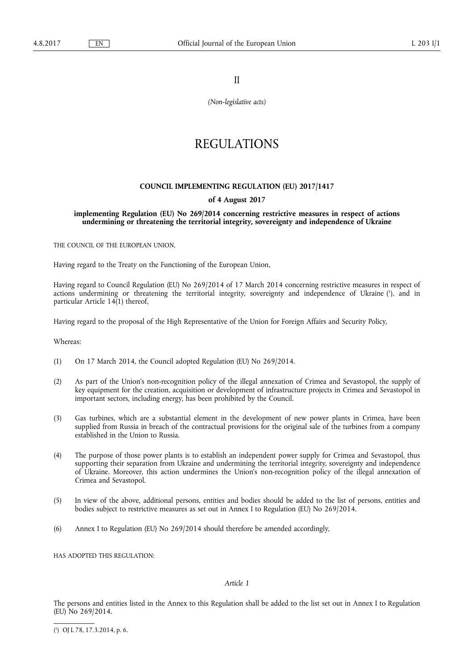II

*(Non-legislative acts)* 

# REGULATIONS

#### **COUNCIL IMPLEMENTING REGULATION (EU) 2017/1417**

#### **of 4 August 2017**

#### **implementing Regulation (EU) No 269/2014 concerning restrictive measures in respect of actions undermining or threatening the territorial integrity, sovereignty and independence of Ukraine**

THE COUNCIL OF THE EUROPEAN UNION,

Having regard to the Treaty on the Functioning of the European Union,

Having regard to Council Regulation (EU) No 269/2014 of 17 March 2014 concerning restrictive measures in respect of actions undermining or threatening the territorial integrity, sovereignty and independence of Ukraine ( 1 ), and in particular Article  $14(1)$  thereof,

Having regard to the proposal of the High Representative of the Union for Foreign Affairs and Security Policy,

Whereas:

- (1) On 17 March 2014, the Council adopted Regulation (EU) No 269/2014.
- (2) As part of the Union's non-recognition policy of the illegal annexation of Crimea and Sevastopol, the supply of key equipment for the creation, acquisition or development of infrastructure projects in Crimea and Sevastopol in important sectors, including energy, has been prohibited by the Council.
- (3) Gas turbines, which are a substantial element in the development of new power plants in Crimea, have been supplied from Russia in breach of the contractual provisions for the original sale of the turbines from a company established in the Union to Russia.
- (4) The purpose of those power plants is to establish an independent power supply for Crimea and Sevastopol, thus supporting their separation from Ukraine and undermining the territorial integrity, sovereignty and independence of Ukraine. Moreover, this action undermines the Union's non-recognition policy of the illegal annexation of Crimea and Sevastopol.
- (5) In view of the above, additional persons, entities and bodies should be added to the list of persons, entities and bodies subject to restrictive measures as set out in Annex I to Regulation (EU) No 269/2014.
- (6) Annex I to Regulation (EU) No 269/2014 should therefore be amended accordingly,

HAS ADOPTED THIS REGULATION.

#### *Article 1*

The persons and entities listed in the Annex to this Regulation shall be added to the list set out in Annex I to Regulation (EU) No 269/2014.

( 1 ) OJ L 78, 17.3.2014, p. 6.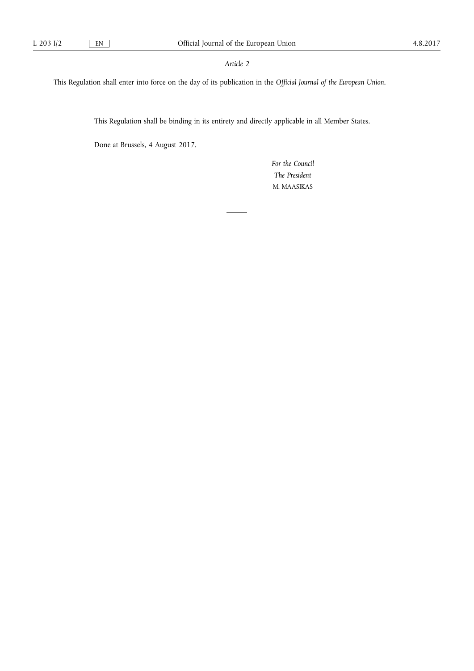#### *Article 2*

This Regulation shall enter into force on the day of its publication in the *Official Journal of the European Union*.

This Regulation shall be binding in its entirety and directly applicable in all Member States.

Done at Brussels, 4 August 2017.

*For the Council The President*  M. MAASIKAS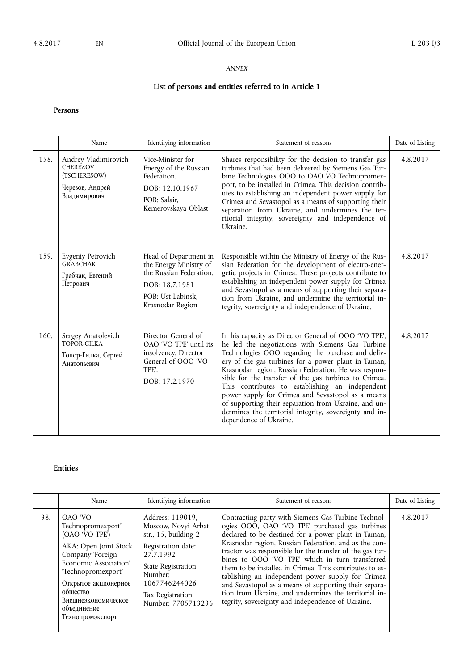### *ANNEX*

# **List of persons and entities referred to in Article 1**

## **Persons**

|      | Name                                                                                       | Identifying information                                                                                                               | Statement of reasons                                                                                                                                                                                                                                                                                                                                                                                                                                                                                                                                                                        | Date of Listing |
|------|--------------------------------------------------------------------------------------------|---------------------------------------------------------------------------------------------------------------------------------------|---------------------------------------------------------------------------------------------------------------------------------------------------------------------------------------------------------------------------------------------------------------------------------------------------------------------------------------------------------------------------------------------------------------------------------------------------------------------------------------------------------------------------------------------------------------------------------------------|-----------------|
| 158. | Andrey Vladimirovich<br><b>CHEREZOV</b><br>(TSCHERESOW)<br>Черезов, Андрей<br>Владимирович | Vice-Minister for<br>Energy of the Russian<br>Federation.<br>DOB: 12.10.1967<br>POB: Salair.<br>Kemerovskaya Oblast                   | Shares responsibility for the decision to transfer gas<br>turbines that had been delivered by Siemens Gas Tur-<br>bine Technologies OOO to OAO VO Technopromex-<br>port, to be installed in Crimea. This decision contrib-<br>utes to establishing an independent power supply for<br>Crimea and Sevastopol as a means of supporting their<br>separation from Ukraine, and undermines the ter-<br>ritorial integrity, sovereignty and independence of<br>Ukraine.                                                                                                                           | 4.8.2017        |
| 159. | Evgeniy Petrovich<br><b>GRABCHAK</b><br>Грабчак, Евгений<br>Петрович                       | Head of Department in<br>the Energy Ministry of<br>the Russian Federation.<br>DOB: 18.7.1981<br>POB: Ust-Labinsk.<br>Krasnodar Region | Responsible within the Ministry of Energy of the Rus-<br>sian Federation for the development of electro-ener-<br>getic projects in Crimea. These projects contribute to<br>establishing an independent power supply for Crimea<br>and Sevastopol as a means of supporting their separa-<br>tion from Ukraine, and undermine the territorial in-<br>tegrity, sovereignty and independence of Ukraine.                                                                                                                                                                                        | 4.8.2017        |
| 160. | Sergey Anatolevich<br>TOPOR-GILKA<br>Топор-Гилка, Сергей<br>Анатольевич                    | Director General of<br>OAO 'VO TPE' until its<br>insolvency, Director<br>General of OOO 'VO<br>TPF.<br>DOB: 17.2.1970                 | In his capacity as Director General of OOO 'VO TPE',<br>he led the negotiations with Siemens Gas Turbine<br>Technologies OOO regarding the purchase and deliv-<br>ery of the gas turbines for a power plant in Taman,<br>Krasnodar region, Russian Federation. He was respon-<br>sible for the transfer of the gas turbines to Crimea.<br>This contributes to establishing an independent<br>power supply for Crimea and Sevastopol as a means<br>of supporting their separation from Ukraine, and un-<br>dermines the territorial integrity, sovereignty and in-<br>dependence of Ukraine. | 4.8.2017        |

# **Entities**

|     | Name                                                                                                                                                                                                                                     | Identifying information                                                                                                                                                                                    | Statement of reasons                                                                                                                                                                                                                                                                                                                                                                                                                                                                                                                                                                                                        | Date of Listing |
|-----|------------------------------------------------------------------------------------------------------------------------------------------------------------------------------------------------------------------------------------------|------------------------------------------------------------------------------------------------------------------------------------------------------------------------------------------------------------|-----------------------------------------------------------------------------------------------------------------------------------------------------------------------------------------------------------------------------------------------------------------------------------------------------------------------------------------------------------------------------------------------------------------------------------------------------------------------------------------------------------------------------------------------------------------------------------------------------------------------------|-----------------|
| 38. | OAO 'VO<br>Technopromexport'<br>(OAO 'VO TPE')<br>AKA: Open Joint Stock<br>Company 'Foreign<br>Economic Association'<br>'Technopromexport'<br>Открытое акционерное<br>обшество<br>Внешнеэкономическое<br>объепинение<br>Технопромэкспорт | Address: 119019.<br>Moscow, Novyi Arbat<br>str., $15$ , building $2$<br>Registration date:<br>27.7.1992<br><b>State Registration</b><br>Number:<br>1067746244026<br>Tax Registration<br>Number: 7705713236 | Contracting party with Siemens Gas Turbine Technol-<br>ogies OOO, OAO 'VO TPE' purchased gas turbines<br>declared to be destined for a power plant in Taman,<br>Krasnodar region, Russian Federation, and as the con-<br>tractor was responsible for the transfer of the gas tur-<br>bines to OOO 'VO TPE' which in turn transferred<br>them to be installed in Crimea. This contributes to es-<br>tablishing an independent power supply for Crimea<br>and Sevastopol as a means of supporting their separa-<br>tion from Ukraine, and undermines the territorial in-<br>tegrity, sovereignty and independence of Ukraine. | 4.8.2017        |